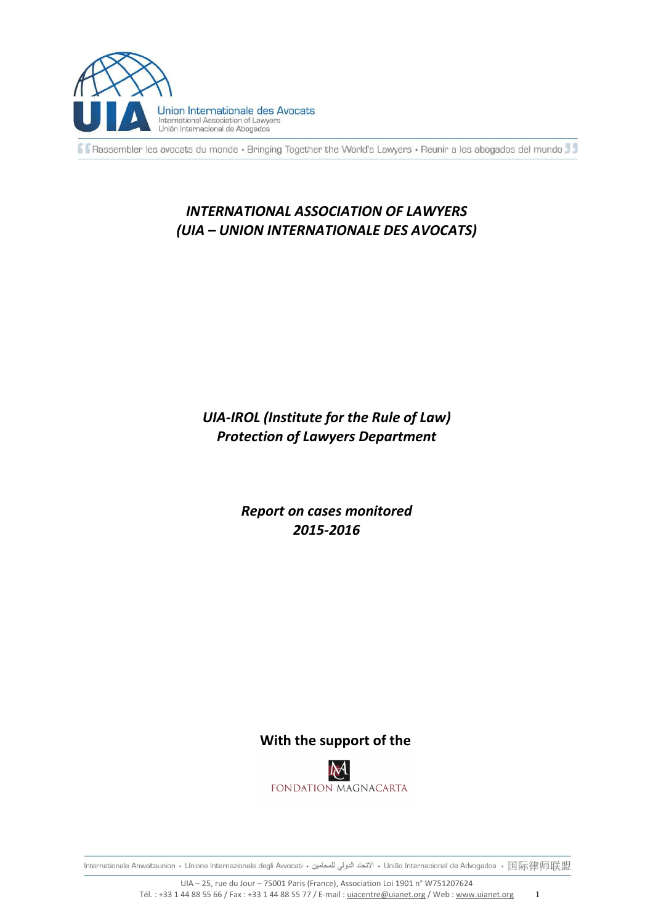

Rassembler les avocats du monde · Bringing Together the World's Lawyers · Reunir a los abogados del mundo

# *INTERNATIONAL ASSOCIATION OF LAWYERS (UIA – UNION INTERNATIONALE DES AVOCATS)*

# *UIA-IROL (Institute for the Rule of Law) Protection of Lawyers Department*

*Report on cases monitored 2015-2016* 

# **With the support of the**

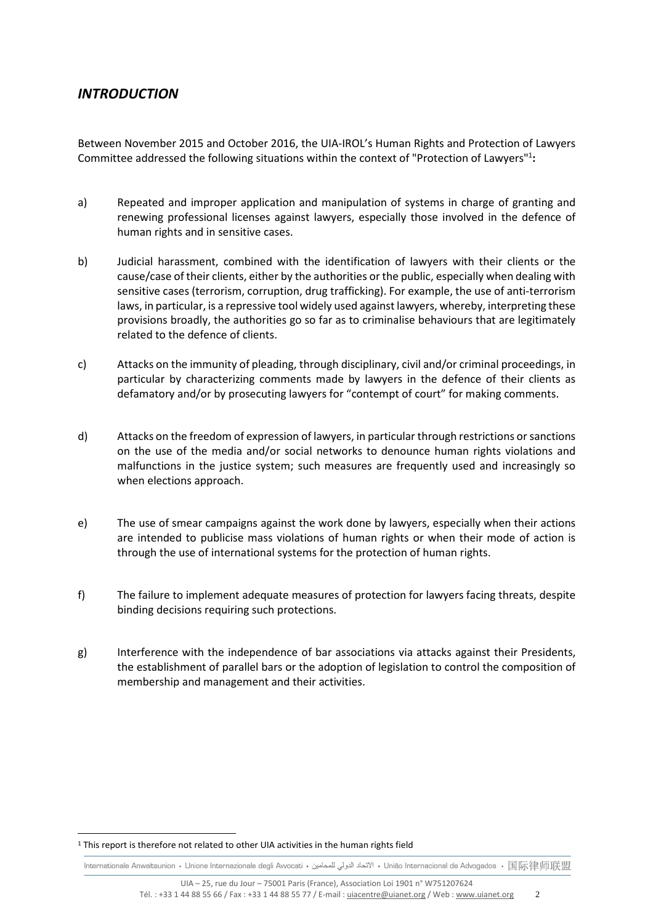# *INTRODUCTION*

Between November 2015 and October 2016, the UIA-IROL's Human Rights and Protection of Lawyers Committee addressed the following situations within the context of "Protection of Lawyers"<sup>1</sup>:

- a) Repeated and improper application and manipulation of systems in charge of granting and renewing professional licenses against lawyers, especially those involved in the defence of human rights and in sensitive cases.
- b) Judicial harassment, combined with the identification of lawyers with their clients or the cause/case of their clients, either by the authorities or the public, especially when dealing with sensitive cases (terrorism, corruption, drug trafficking). For example, the use of anti-terrorism laws, in particular, is a repressive tool widely used against lawyers, whereby, interpreting these provisions broadly, the authorities go so far as to criminalise behaviours that are legitimately related to the defence of clients.
- c) Attacks on the immunity of pleading, through disciplinary, civil and/or criminal proceedings, in particular by characterizing comments made by lawyers in the defence of their clients as defamatory and/or by prosecuting lawyers for "contempt of court" for making comments.
- d) Attacks on the freedom of expression of lawyers, in particular through restrictions or sanctions on the use of the media and/or social networks to denounce human rights violations and malfunctions in the justice system; such measures are frequently used and increasingly so when elections approach.
- e) The use of smear campaigns against the work done by lawyers, especially when their actions are intended to publicise mass violations of human rights or when their mode of action is through the use of international systems for the protection of human rights.
- f) The failure to implement adequate measures of protection for lawyers facing threats, despite binding decisions requiring such protections.
- g) Interference with the independence of bar associations via attacks against their Presidents, the establishment of parallel bars or the adoption of legislation to control the composition of membership and management and their activities.

 $\overline{a}$ 

<sup>&</sup>lt;sup>1</sup> This report is therefore not related to other UIA activities in the human rights field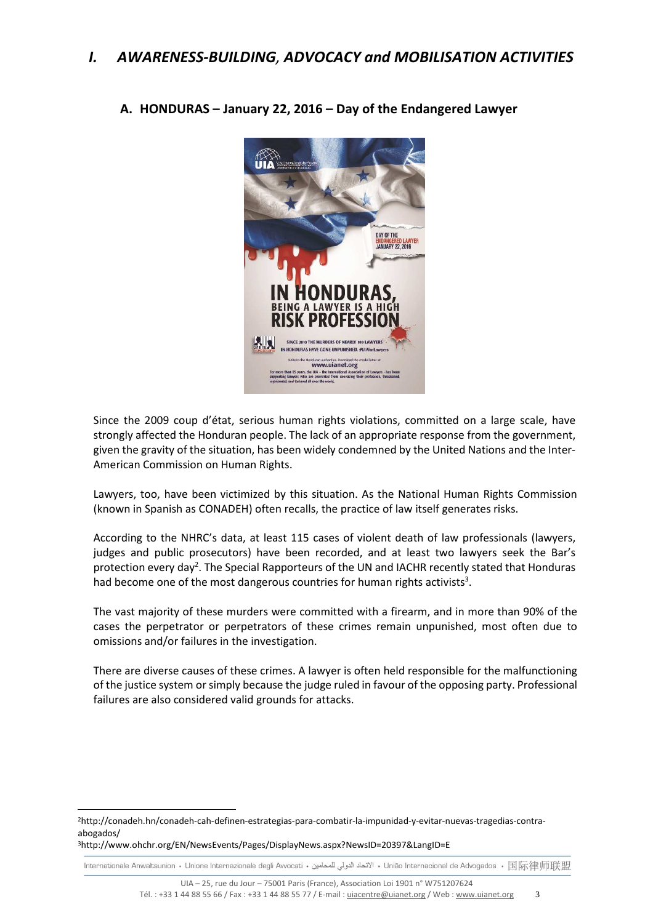

**A. HONDURAS – January 22, 2016 – Day of the Endangered Lawyer** 

Since the 2009 coup d'état, serious human rights violations, committed on a large scale, have strongly affected the Honduran people. The lack of an appropriate response from the government, given the gravity of the situation, has been widely condemned by the United Nations and the Inter-American Commission on Human Rights.

Lawyers, too, have been victimized by this situation. As the National Human Rights Commission (known in Spanish as CONADEH) often recalls, the practice of law itself generates risks.

According to the NHRC's data, at least 115 cases of violent death of law professionals (lawyers, judges and public prosecutors) have been recorded, and at least two lawyers seek the Bar's protection every day<sup>2</sup>. The Special Rapporteurs of the UN and IACHR recently stated that Honduras had become one of the most dangerous countries for human rights activists<sup>3</sup>.

The vast majority of these murders were committed with a firearm, and in more than 90% of the cases the perpetrator or perpetrators of these crimes remain unpunished, most often due to omissions and/or failures in the investigation.

There are diverse causes of these crimes. A lawyer is often held responsible for the malfunctioning of the justice system or simply because the judge ruled in favour of the opposing party. Professional failures are also considered valid grounds for attacks.

 $\overline{a}$ 

<sup>2</sup>http://conadeh.hn/conadeh-cah-definen-estrategias-para-combatir-la-impunidad-y-evitar-nuevas-tragedias-contraabogados/

<sup>3</sup>http://www.ohchr.org/EN/NewsEvents/Pages/DisplayNews.aspx?NewsID=20397&LangID=E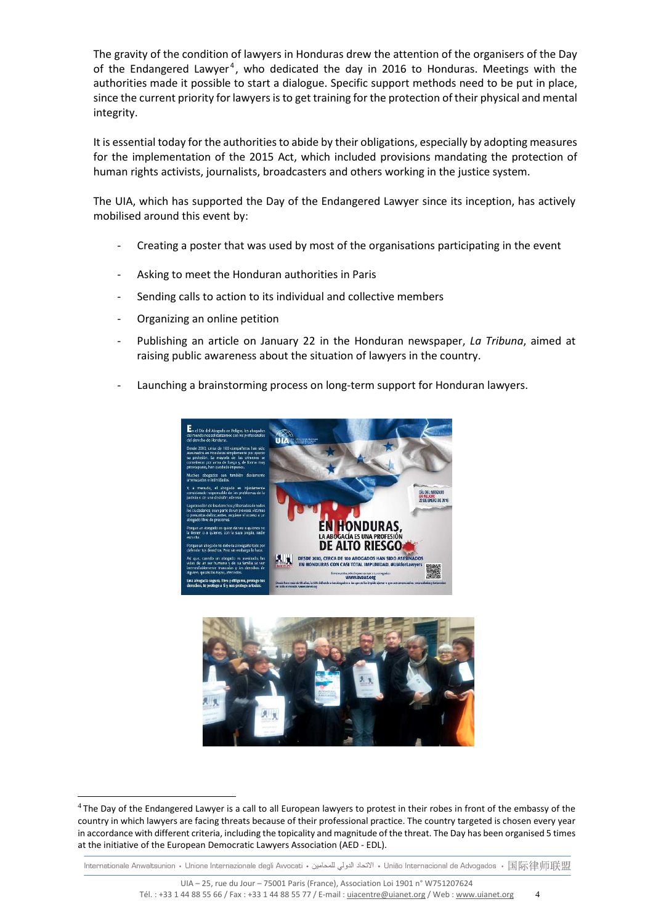The gravity of the condition of lawyers in Honduras drew the attention of the organisers of the Day of the Endangered Lawyer<sup>4</sup>, who dedicated the day in 2016 to Honduras. Meetings with the authorities made it possible to start a dialogue. Specific support methods need to be put in place, since the current priority for lawyers is to get training for the protection of their physical and mental integrity.

It is essential today for the authorities to abide by their obligations, especially by adopting measures for the implementation of the 2015 Act, which included provisions mandating the protection of human rights activists, journalists, broadcasters and others working in the justice system.

The UIA, which has supported the Day of the Endangered Lawyer since its inception, has actively mobilised around this event by:

- Creating a poster that was used by most of the organisations participating in the event
- Asking to meet the Honduran authorities in Paris
- Sending calls to action to its individual and collective members
- Organizing an online petition

 $\overline{a}$ 

- Publishing an article on January 22 in the Honduran newspaper, *La Tribuna*, aimed at raising public awareness about the situation of lawyers in the country.
- Launching a brainstorming process on long-term support for Honduran lawyers.





<sup>&</sup>lt;sup>4</sup>The Day of the Endangered Lawyer is a call to all European lawyers to protest in their robes in front of the embassy of the country in which lawyers are facing threats because of their professional practice. The country targeted is chosen every year in accordance with different criteria, including the topicality and magnitude of the threat. The Day has been organised 5 times at the initiative of the European Democratic Lawyers Association (AED - EDL).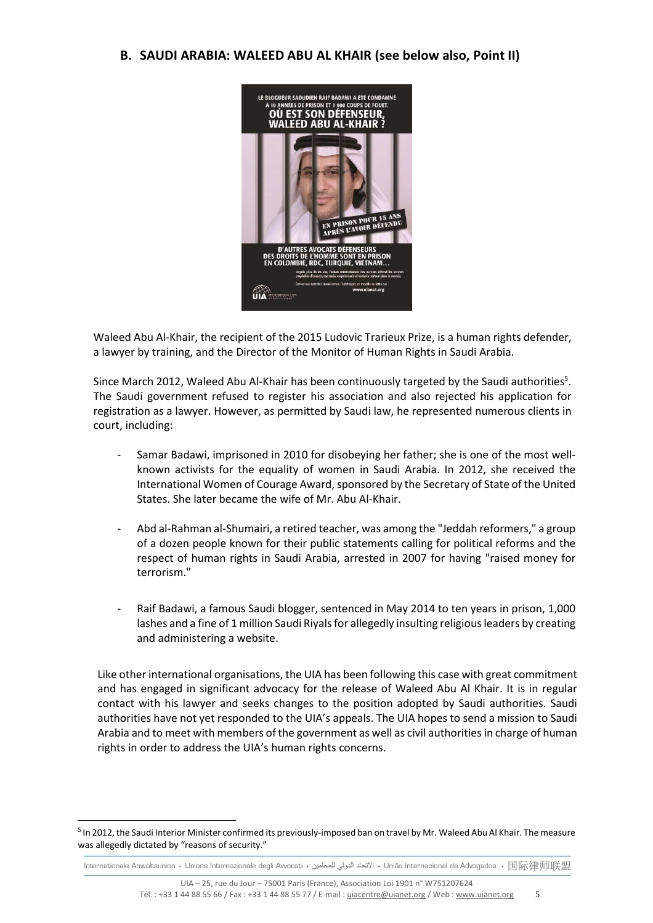# **B. SAUDI ARABIA: WALEED ABU AL KHAIR (see below also, Point II)**



Waleed Abu Al-Khair, the recipient of the 2015 Ludovic Trarieux Prize, is a human rights defender, a lawyer by training, and the Director of the Monitor of Human Rights in Saudi Arabia.

Since March 2012, Waleed Abu Al-Khair has been continuously targeted by the Saudi authorities<sup>5</sup>. The Saudi government refused to register his association and also rejected his application for registration as a lawyer. However, as permitted by Saudi law, he represented numerous clients in court, including:

- Samar Badawi, imprisoned in 2010 for disobeying her father; she is one of the most wellknown activists for the equality of women in Saudi Arabia. In 2012, she received the International Women of Courage Award, sponsored by the Secretary of State of the United States. She later became the wife of Mr. Abu Al-Khair.
- Abd al-Rahman al-Shumairi, a retired teacher, was among the "Jeddah reformers," a group of a dozen people known for their public statements calling for political reforms and the respect of human rights in Saudi Arabia, arrested in 2007 for having "raised money for terrorism."
- Raif Badawi, a famous Saudi blogger, sentenced in May 2014 to ten years in prison, 1,000 lashes and a fine of 1 million Saudi Riyals for allegedly insulting religious leaders by creating and administering a website.

Like other international organisations, the UIA has been following this case with great commitment and has engaged in significant advocacy for the release of Waleed Abu Al Khair. It is in regular contact with his lawyer and seeks changes to the position adopted by Saudi authorities. Saudi authorities have not yet responded to the UIA's appeals. The UIA hopes to send a mission to Saudi Arabia and to meet with members of the government as well as civil authorities in charge of human rights in order to address the UIA's human rights concerns.

 $\overline{a}$ 

<sup>&</sup>lt;sup>5</sup> In 2012, the Saudi Interior Minister confirmed its previously-imposed ban on travel by Mr. Waleed Abu Al Khair. The measure was allegedly dictated by "reasons of security."

lnternationale Anwaltsunion • Unione Internazionale degli Avvocati • الاتحاد الدولي للمحامين • União Internacional de Advogados • 国际律师联盟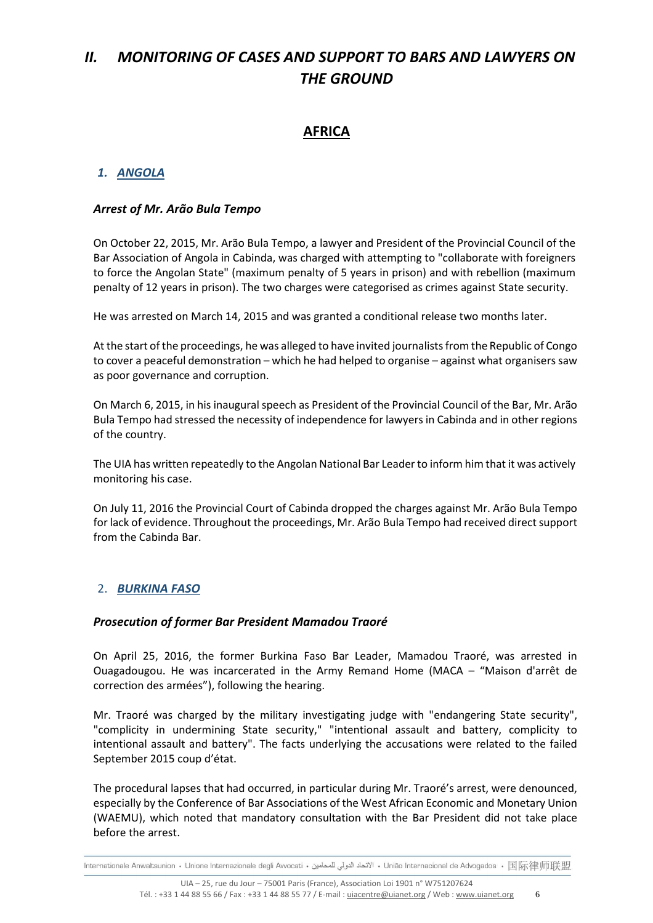# *II. MONITORING OF CASES AND SUPPORT TO BARS AND LAWYERS ON THE GROUND*

# **AFRICA**

# *1. ANGOLA*

### *Arrest of Mr. Arão Bula Tempo*

On October 22, 2015, Mr. Arão Bula Tempo, a lawyer and President of the Provincial Council of the Bar Association of Angola in Cabinda, was charged with attempting to "collaborate with foreigners to force the Angolan State" (maximum penalty of 5 years in prison) and with rebellion (maximum penalty of 12 years in prison). The two charges were categorised as crimes against State security.

He was arrested on March 14, 2015 and was granted a conditional release two months later.

At the start of the proceedings, he was alleged to have invited journalists from the Republic of Congo to cover a peaceful demonstration – which he had helped to organise – against what organisers saw as poor governance and corruption.

On March 6, 2015, in his inaugural speech as President of the Provincial Council of the Bar, Mr. Arão Bula Tempo had stressed the necessity of independence for lawyers in Cabinda and in other regions of the country.

The UIA has written repeatedly to the Angolan National Bar Leader to inform him that it was actively monitoring his case.

On July 11, 2016 the Provincial Court of Cabinda dropped the charges against Mr. Arão Bula Tempo for lack of evidence. Throughout the proceedings, Mr. Arão Bula Tempo had received direct support from the Cabinda Bar.

# 2. *BURKINA FASO*

# *Prosecution of former Bar President Mamadou Traoré*

On April 25, 2016, the former Burkina Faso Bar Leader, Mamadou Traoré, was arrested in Ouagadougou. He was incarcerated in the Army Remand Home (MACA – "Maison d'arrêt de correction des armées"), following the hearing.

Mr. Traoré was charged by the military investigating judge with "endangering State security", "complicity in undermining State security," "intentional assault and battery, complicity to intentional assault and battery". The facts underlying the accusations were related to the failed September 2015 coup d'état.

The procedural lapses that had occurred, in particular during Mr. Traoré's arrest, were denounced, especially by the Conference of Bar Associations of the West African Economic and Monetary Union (WAEMU), which noted that mandatory consultation with the Bar President did not take place before the arrest.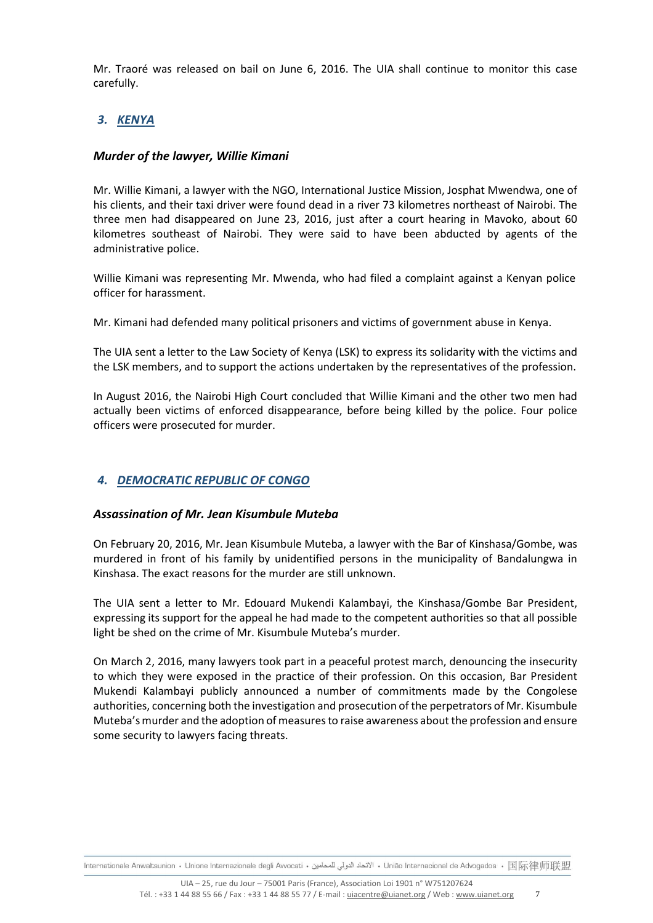Mr. Traoré was released on bail on June 6, 2016. The UIA shall continue to monitor this case carefully.

# *3. KENYA*

# *Murder of the lawyer, Willie Kimani*

Mr. Willie Kimani, a lawyer with the NGO, International Justice Mission, Josphat Mwendwa, one of his clients, and their taxi driver were found dead in a river 73 kilometres northeast of Nairobi. The three men had disappeared on June 23, 2016, just after a court hearing in Mavoko, about 60 kilometres southeast of Nairobi. They were said to have been abducted by agents of the administrative police.

Willie Kimani was representing Mr. Mwenda, who had filed a complaint against a Kenyan police officer for harassment.

Mr. Kimani had defended many political prisoners and victims of government abuse in Kenya.

The UIA sent a letter to the Law Society of Kenya (LSK) to express its solidarity with the victims and the LSK members, and to support the actions undertaken by the representatives of the profession.

In August 2016, the Nairobi High Court concluded that Willie Kimani and the other two men had actually been victims of enforced disappearance, before being killed by the police. Four police officers were prosecuted for murder.

# *4. DEMOCRATIC REPUBLIC OF CONGO*

# *Assassination of Mr. Jean Kisumbule Muteba*

On February 20, 2016, Mr. Jean Kisumbule Muteba, a lawyer with the Bar of Kinshasa/Gombe, was murdered in front of his family by unidentified persons in the municipality of Bandalungwa in Kinshasa. The exact reasons for the murder are still unknown.

The UIA sent a letter to Mr. Edouard Mukendi Kalambayi, the Kinshasa/Gombe Bar President, expressing its support for the appeal he had made to the competent authorities so that all possible light be shed on the crime of Mr. Kisumbule Muteba's murder.

On March 2, 2016, many lawyers took part in a peaceful protest march, denouncing the insecurity to which they were exposed in the practice of their profession. On this occasion, Bar President Mukendi Kalambayi publicly announced a number of commitments made by the Congolese authorities, concerning both the investigation and prosecution of the perpetrators of Mr. Kisumbule Muteba's murder and the adoption of measures to raise awareness about the profession and ensure some security to lawyers facing threats.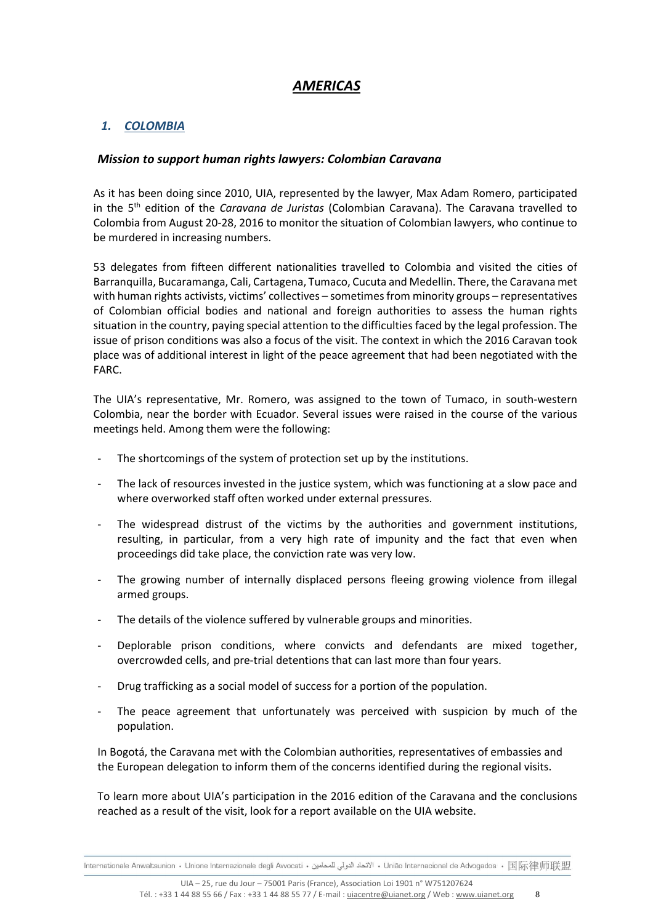# *AMERICAS*

# *1. COLOMBIA*

### *Mission to support human rights lawyers: Colombian Caravana*

As it has been doing since 2010, UIA, represented by the lawyer, Max Adam Romero, participated in the 5<sup>th</sup> edition of the *Caravana de Juristas* (Colombian Caravana). The Caravana travelled to Colombia from August 20-28, 2016 to monitor the situation of Colombian lawyers, who continue to be murdered in increasing numbers.

53 delegates from fifteen different nationalities travelled to Colombia and visited the cities of Barranquilla, Bucaramanga, Cali, Cartagena, Tumaco, Cucuta and Medellin. There, the Caravana met with human rights activists, victims' collectives - sometimes from minority groups - representatives of Colombian official bodies and national and foreign authorities to assess the human rights situation in the country, paying special attention to the difficulties faced by the legal profession. The issue of prison conditions was also a focus of the visit. The context in which the 2016 Caravan took place was of additional interest in light of the peace agreement that had been negotiated with the FARC.

The UIA's representative, Mr. Romero, was assigned to the town of Tumaco, in south-western Colombia, near the border with Ecuador. Several issues were raised in the course of the various meetings held. Among them were the following:

- The shortcomings of the system of protection set up by the institutions.
- The lack of resources invested in the justice system, which was functioning at a slow pace and where overworked staff often worked under external pressures.
- The widespread distrust of the victims by the authorities and government institutions, resulting, in particular, from a very high rate of impunity and the fact that even when proceedings did take place, the conviction rate was very low.
- The growing number of internally displaced persons fleeing growing violence from illegal armed groups.
- The details of the violence suffered by vulnerable groups and minorities.
- Deplorable prison conditions, where convicts and defendants are mixed together, overcrowded cells, and pre-trial detentions that can last more than four years.
- Drug trafficking as a social model of success for a portion of the population.
- The peace agreement that unfortunately was perceived with suspicion by much of the population.

In Bogotá, the Caravana met with the Colombian authorities, representatives of embassies and the European delegation to inform them of the concerns identified during the regional visits.

To learn more about UIA's participation in the 2016 edition of the Caravana and the conclusions reached as a result of the visit, look for a report available on the UIA website.

lnternationale Anwaltsunion • Unione Internazionale degli Avvocati • الاتحاد الدولي للمحامين • União Internacional de Advogados • 国际律师联盟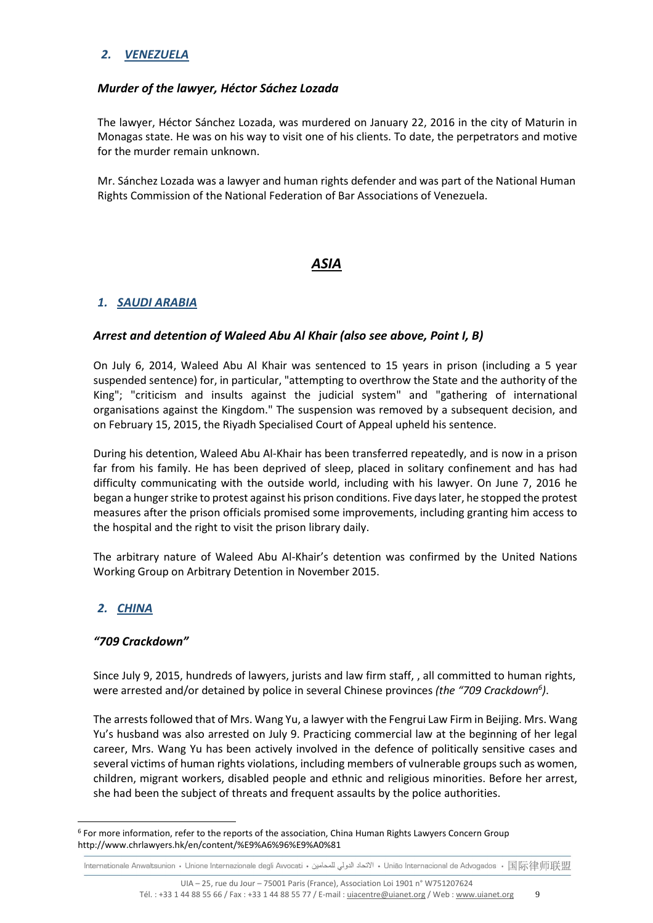# *2. VENEZUELA*

### *Murder of the lawyer, Héctor Sáchez Lozada*

The lawyer, Héctor Sánchez Lozada, was murdered on January 22, 2016 in the city of Maturin in Monagas state. He was on his way to visit one of his clients. To date, the perpetrators and motive for the murder remain unknown.

Mr. Sánchez Lozada was a lawyer and human rights defender and was part of the National Human Rights Commission of the National Federation of Bar Associations of Venezuela.

# *ASIA*

# *1. SAUDI ARABIA*

### *Arrest and detention of Waleed Abu Al Khair (also see above, Point I, B)*

On July 6, 2014, Waleed Abu Al Khair was sentenced to 15 years in prison (including a 5 year suspended sentence) for, in particular, "attempting to overthrow the State and the authority of the King"; "criticism and insults against the judicial system" and "gathering of international organisations against the Kingdom." The suspension was removed by a subsequent decision, and on February 15, 2015, the Riyadh Specialised Court of Appeal upheld his sentence.

During his detention, Waleed Abu Al-Khair has been transferred repeatedly, and is now in a prison far from his family. He has been deprived of sleep, placed in solitary confinement and has had difficulty communicating with the outside world, including with his lawyer. On June 7, 2016 he began a hunger strike to protest against his prison conditions. Five days later, he stopped the protest measures after the prison officials promised some improvements, including granting him access to the hospital and the right to visit the prison library daily.

The arbitrary nature of Waleed Abu Al-Khair's detention was confirmed by the United Nations Working Group on Arbitrary Detention in November 2015.

# *2. CHINA*

 $\overline{a}$ 

#### *"709 Crackdown"*

Since July 9, 2015, hundreds of lawyers, jurists and law firm staff, , all committed to human rights, were arrested and/or detained by police in several Chinese provinces *(the "709 Crackdown<sup>6</sup> )*.

The arrests followed that of Mrs. Wang Yu, a lawyer with the Fengrui Law Firm in Beijing. Mrs. Wang Yu's husband was also arrested on July 9. Practicing commercial law at the beginning of her legal career, Mrs. Wang Yu has been actively involved in the defence of politically sensitive cases and several victims of human rights violations, including members of vulnerable groups such as women, children, migrant workers, disabled people and ethnic and religious minorities. Before her arrest, she had been the subject of threats and frequent assaults by the police authorities.

<sup>&</sup>lt;sup>6</sup> For more information, refer to the reports of the association, China Human Rights Lawyers Concern Group http://www.chrlawyers.hk/en/content/%E9%A6%96%E9%A0%81

Internationale Anwaltsunion • Unione Internazionale degli Avvocati • الاتحاد الدولي للمحامين • União Internacional de Advogados • 国际律师联盟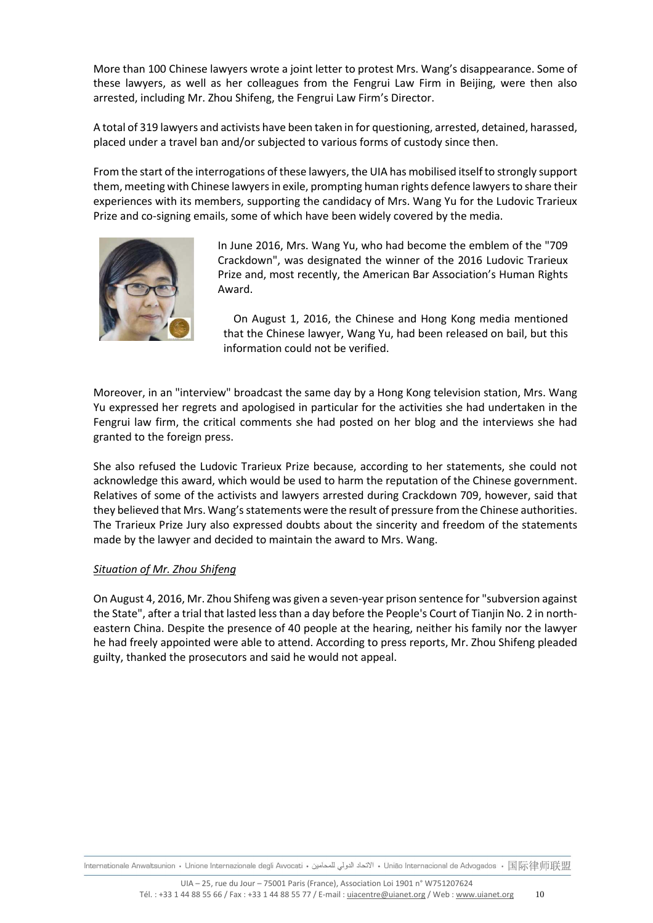More than 100 Chinese lawyers wrote a joint letter to protest Mrs. Wang's disappearance. Some of these lawyers, as well as her colleagues from the Fengrui Law Firm in Beijing, were then also arrested, including Mr. Zhou Shifeng, the Fengrui Law Firm's Director.

A total of 319 lawyers and activists have been taken in for questioning, arrested, detained, harassed, placed under a travel ban and/or subjected to various forms of custody since then.

From the start of the interrogations of these lawyers, the UIA has mobilised itself to strongly support them, meeting with Chinese lawyers in exile, prompting human rights defence lawyers to share their experiences with its members, supporting the candidacy of Mrs. Wang Yu for the Ludovic Trarieux Prize and co-signing emails, some of which have been widely covered by the media.



In June 2016, Mrs. Wang Yu, who had become the emblem of the "709 Crackdown", was designated the winner of the 2016 Ludovic Trarieux Prize and, most recently, the American Bar Association's Human Rights Award.

On August 1, 2016, the Chinese and Hong Kong media mentioned that the Chinese lawyer, Wang Yu, had been released on bail, but this information could not be verified.

Moreover, in an "interview" broadcast the same day by a Hong Kong television station, Mrs. Wang Yu expressed her regrets and apologised in particular for the activities she had undertaken in the Fengrui law firm, the critical comments she had posted on her blog and the interviews she had granted to the foreign press.

She also refused the Ludovic Trarieux Prize because, according to her statements, she could not acknowledge this award, which would be used to harm the reputation of the Chinese government. Relatives of some of the activists and lawyers arrested during Crackdown 709, however, said that they believed that Mrs. Wang's statements were the result of pressure from the Chinese authorities. The Trarieux Prize Jury also expressed doubts about the sincerity and freedom of the statements made by the lawyer and decided to maintain the award to Mrs. Wang.

#### *Situation of Mr. Zhou Shifeng*

On August 4, 2016, Mr. Zhou Shifeng was given a seven-year prison sentence for "subversion against the State", after a trial that lasted less than a day before the People's Court of Tianjin No. 2 in northeastern China. Despite the presence of 40 people at the hearing, neither his family nor the lawyer he had freely appointed were able to attend. According to press reports, Mr. Zhou Shifeng pleaded guilty, thanked the prosecutors and said he would not appeal.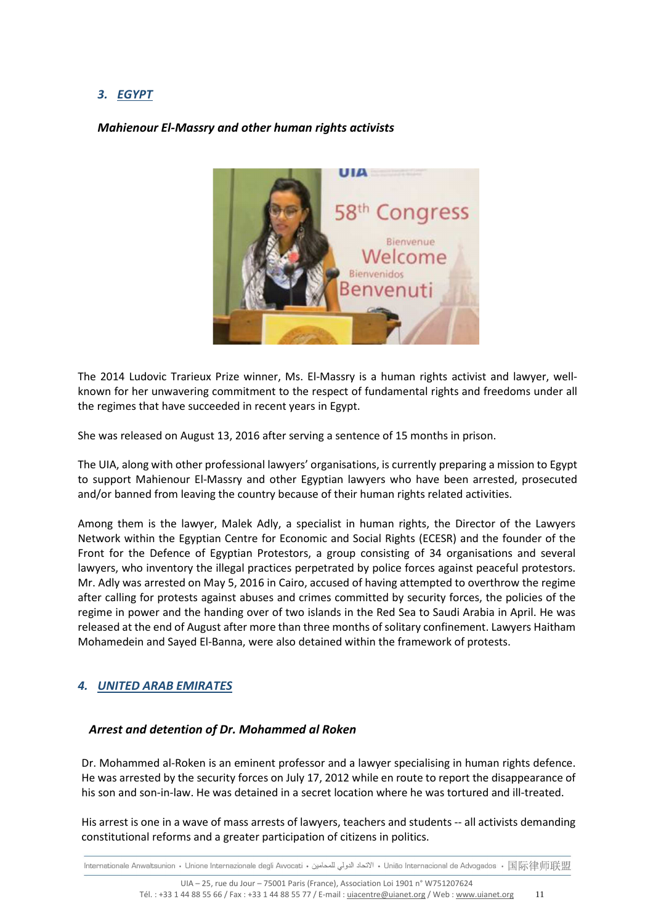# *3. EGYPT*

# *Mahienour El-Massry and other human rights activists*



The 2014 Ludovic Trarieux Prize winner, Ms. El-Massry is a human rights activist and lawyer, wellknown for her unwavering commitment to the respect of fundamental rights and freedoms under all the regimes that have succeeded in recent years in Egypt.

She was released on August 13, 2016 after serving a sentence of 15 months in prison.

The UIA, along with other professional lawyers' organisations, is currently preparing a mission to Egypt to support Mahienour El-Massry and other Egyptian lawyers who have been arrested, prosecuted and/or banned from leaving the country because of their human rights related activities.

Among them is the lawyer, Malek Adly, a specialist in human rights, the Director of the Lawyers Network within the Egyptian Centre for Economic and Social Rights (ECESR) and the founder of the Front for the Defence of Egyptian Protestors, a group consisting of 34 organisations and several lawyers, who inventory the illegal practices perpetrated by police forces against peaceful protestors. Mr. Adly was arrested on May 5, 2016 in Cairo, accused of having attempted to overthrow the regime after calling for protests against abuses and crimes committed by security forces, the policies of the regime in power and the handing over of two islands in the Red Sea to Saudi Arabia in April. He was released at the end of August after more than three months of solitary confinement. Lawyers Haitham Mohamedein and Sayed El-Banna, were also detained within the framework of protests.

# *4. UNITED ARAB EMIRATES*

#### *Arrest and detention of Dr. Mohammed al Roken*

Dr. Mohammed al-Roken is an eminent professor and a lawyer specialising in human rights defence. He was arrested by the security forces on July 17, 2012 while en route to report the disappearance of his son and son-in-law. He was detained in a secret location where he was tortured and ill-treated.

His arrest is one in a wave of mass arrests of lawyers, teachers and students -- all activists demanding constitutional reforms and a greater participation of citizens in politics.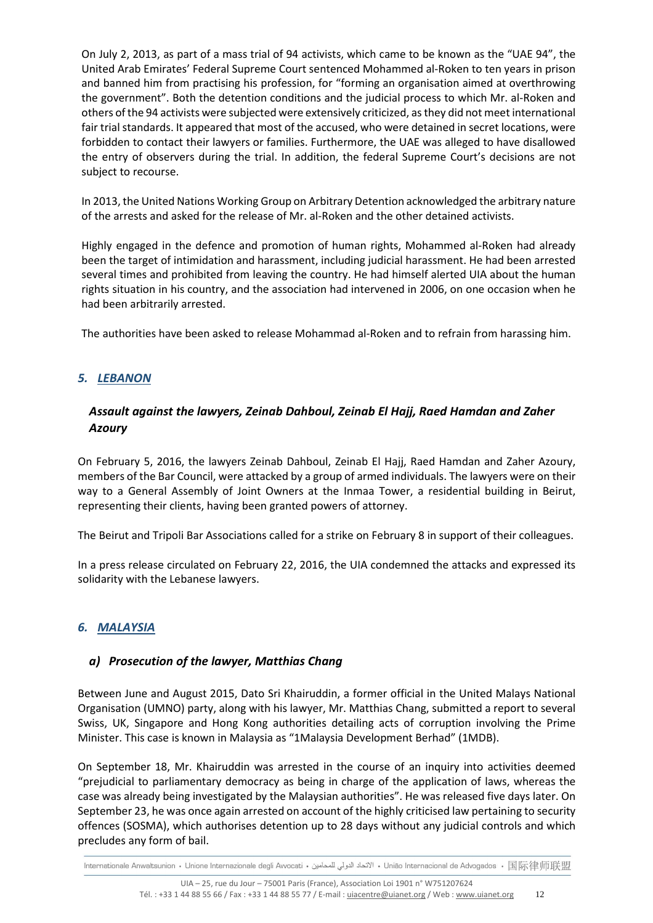On July 2, 2013, as part of a mass trial of 94 activists, which came to be known as the "UAE 94", the United Arab Emirates' Federal Supreme Court sentenced Mohammed al-Roken to ten years in prison and banned him from practising his profession, for "forming an organisation aimed at overthrowing the government". Both the detention conditions and the judicial process to which Mr. al-Roken and others of the 94 activists were subjected were extensively criticized, as they did not meet international fair trial standards. It appeared that most of the accused, who were detained in secret locations, were forbidden to contact their lawyers or families. Furthermore, the UAE was alleged to have disallowed the entry of observers during the trial. In addition, the federal Supreme Court's decisions are not subject to recourse.

In 2013, the United Nations Working Group on Arbitrary Detention acknowledged the arbitrary nature of the arrests and asked for the release of Mr. al-Roken and the other detained activists.

Highly engaged in the defence and promotion of human rights, Mohammed al-Roken had already been the target of intimidation and harassment, including judicial harassment. He had been arrested several times and prohibited from leaving the country. He had himself alerted UIA about the human rights situation in his country, and the association had intervened in 2006, on one occasion when he had been arbitrarily arrested.

The authorities have been asked to release Mohammad al-Roken and to refrain from harassing him.

# *5. LEBANON*

# *Assault against the lawyers, Zeinab Dahboul, Zeinab El Hajj, Raed Hamdan and Zaher Azoury*

On February 5, 2016, the lawyers Zeinab Dahboul, Zeinab El Hajj, Raed Hamdan and Zaher Azoury, members of the Bar Council, were attacked by a group of armed individuals. The lawyers were on their way to a General Assembly of Joint Owners at the Inmaa Tower, a residential building in Beirut, representing their clients, having been granted powers of attorney.

The Beirut and Tripoli Bar Associations called for a strike on February 8 in support of their colleagues.

In a press release circulated on February 22, 2016, the UIA condemned the attacks and expressed its solidarity with the Lebanese lawyers.

# *6. MALAYSIA*

# *a) Prosecution of the lawyer, Matthias Chang*

Between June and August 2015, Dato Sri Khairuddin, a former official in the United Malays National Organisation (UMNO) party, along with his lawyer, Mr. Matthias Chang, submitted a report to several Swiss, UK, Singapore and Hong Kong authorities detailing acts of corruption involving the Prime Minister. This case is known in Malaysia as "1Malaysia Development Berhad" (1MDB).

On September 18, Mr. Khairuddin was arrested in the course of an inquiry into activities deemed "prejudicial to parliamentary democracy as being in charge of the application of laws, whereas the case was already being investigated by the Malaysian authorities". He was released five days later. On September 23, he was once again arrested on account of the highly criticised law pertaining to security offences (SOSMA), which authorises detention up to 28 days without any judicial controls and which precludes any form of bail.

lnternationale Anwaltsunion • Unione Internazionale degli Avvocati • الاتحاد الدولي للمحامين • União Internacional de Advogados • 国际律师联盟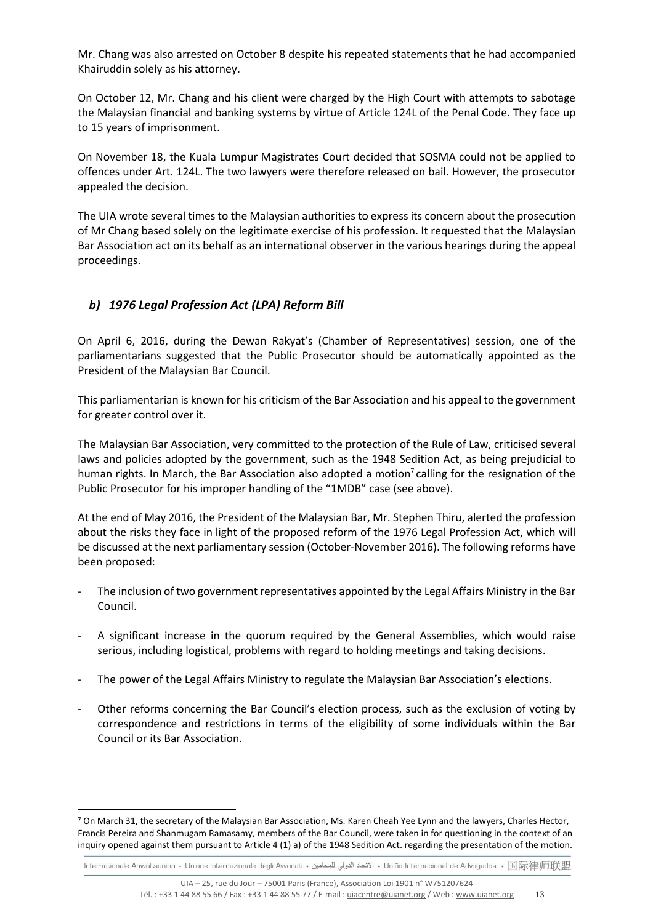Mr. Chang was also arrested on October 8 despite his repeated statements that he had accompanied Khairuddin solely as his attorney.

On October 12, Mr. Chang and his client were charged by the High Court with attempts to sabotage the Malaysian financial and banking systems by virtue of Article 124L of the Penal Code. They face up to 15 years of imprisonment.

On November 18, the Kuala Lumpur Magistrates Court decided that SOSMA could not be applied to offences under Art. 124L. The two lawyers were therefore released on bail. However, the prosecutor appealed the decision.

The UIA wrote several times to the Malaysian authorities to express its concern about the prosecution of Mr Chang based solely on the legitimate exercise of his profession. It requested that the Malaysian Bar Association act on its behalf as an international observer in the various hearings during the appeal proceedings.

# *b) 1976 Legal Profession Act (LPA) Reform Bill*

 $\overline{a}$ 

On April 6, 2016, during the Dewan Rakyat's (Chamber of Representatives) session, one of the parliamentarians suggested that the Public Prosecutor should be automatically appointed as the President of the Malaysian Bar Council.

This parliamentarian is known for his criticism of the Bar Association and his appeal to the government for greater control over it.

The Malaysian Bar Association, very committed to the protection of the Rule of Law, criticised several laws and policies adopted by the government, such as the 1948 Sedition Act, as being prejudicial to human rights. In March, the Bar Association also adopted a motion<sup>7</sup> calling for the resignation of the Public Prosecutor for his improper handling of the "1MDB" case (see above).

At the end of May 2016, the President of the Malaysian Bar, Mr. Stephen Thiru, alerted the profession about the risks they face in light of the proposed reform of the 1976 Legal Profession Act, which will be discussed at the next parliamentary session (October-November 2016). The following reforms have been proposed:

- The inclusion of two government representatives appointed by the Legal Affairs Ministry in the Bar Council.
- A significant increase in the quorum required by the General Assemblies, which would raise serious, including logistical, problems with regard to holding meetings and taking decisions.
- The power of the Legal Affairs Ministry to regulate the Malaysian Bar Association's elections.
- Other reforms concerning the Bar Council's election process, such as the exclusion of voting by correspondence and restrictions in terms of the eligibility of some individuals within the Bar Council or its Bar Association.

<sup>&</sup>lt;sup>7</sup> On March 31, the secretary of the Malaysian Bar Association, Ms. Karen Cheah Yee Lynn and the lawyers, Charles Hector, Francis Pereira and Shanmugam Ramasamy, members of the Bar Council, were taken in for questioning in the context of an inquiry opened against them pursuant to Article 4 (1) a) of the 1948 Sedition Act. regarding the presentation of the motion.

Internationale Anwaltsunion • Unione Internazionale degli Avvocati • الاتحاد الدولي للمحامين • União Internacional de Advogados • 国际律师联盟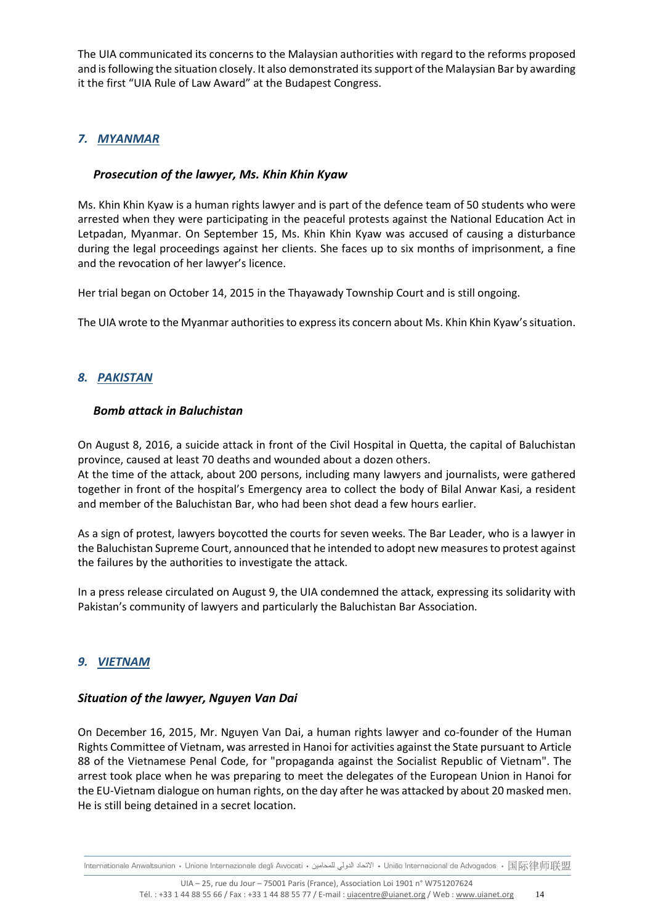The UIA communicated its concerns to the Malaysian authorities with regard to the reforms proposed and is following the situation closely. It also demonstrated its support of the Malaysian Bar by awarding it the first "UIA Rule of Law Award" at the Budapest Congress.

# *7. MYANMAR*

# *Prosecution of the lawyer, Ms. Khin Khin Kyaw*

Ms. Khin Khin Kyaw is a human rights lawyer and is part of the defence team of 50 students who were arrested when they were participating in the peaceful protests against the National Education Act in Letpadan, Myanmar. On September 15, Ms. Khin Khin Kyaw was accused of causing a disturbance during the legal proceedings against her clients. She faces up to six months of imprisonment, a fine and the revocation of her lawyer's licence.

Her trial began on October 14, 2015 in the Thayawady Township Court and is still ongoing.

The UIA wrote to the Myanmar authorities to express its concern about Ms. Khin Khin Kyaw's situation.

# *8. PAKISTAN*

# *Bomb attack in Baluchistan*

On August 8, 2016, a suicide attack in front of the Civil Hospital in Quetta, the capital of Baluchistan province, caused at least 70 deaths and wounded about a dozen others.

At the time of the attack, about 200 persons, including many lawyers and journalists, were gathered together in front of the hospital's Emergency area to collect the body of Bilal Anwar Kasi, a resident and member of the Baluchistan Bar, who had been shot dead a few hours earlier.

As a sign of protest, lawyers boycotted the courts for seven weeks. The Bar Leader, who is a lawyer in the Baluchistan Supreme Court, announced that he intended to adopt new measures to protest against the failures by the authorities to investigate the attack.

In a press release circulated on August 9, the UIA condemned the attack, expressing its solidarity with Pakistan's community of lawyers and particularly the Baluchistan Bar Association.

# *9. VIETNAM*

# *Situation of the lawyer, Nguyen Van Dai*

On December 16, 2015, Mr. Nguyen Van Dai, a human rights lawyer and co-founder of the Human Rights Committee of Vietnam, was arrested in Hanoi for activities against the State pursuant to Article 88 of the Vietnamese Penal Code, for "propaganda against the Socialist Republic of Vietnam". The arrest took place when he was preparing to meet the delegates of the European Union in Hanoi for the EU-Vietnam dialogue on human rights, on the day after he was attacked by about 20 masked men. He is still being detained in a secret location.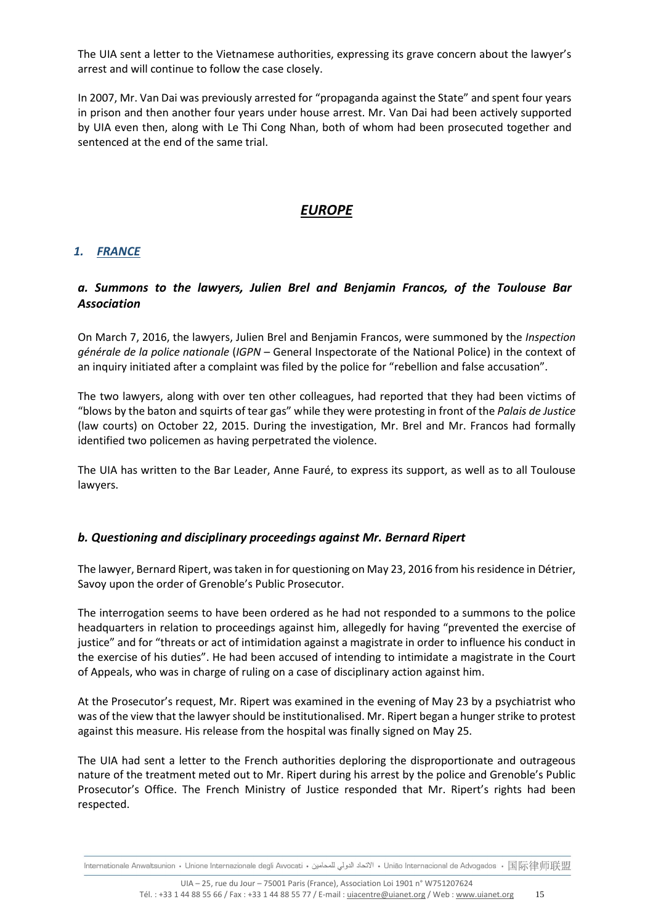The UIA sent a letter to the Vietnamese authorities, expressing its grave concern about the lawyer's arrest and will continue to follow the case closely.

In 2007, Mr. Van Dai was previously arrested for "propaganda against the State" and spent four years in prison and then another four years under house arrest. Mr. Van Dai had been actively supported by UIA even then, along with Le Thi Cong Nhan, both of whom had been prosecuted together and sentenced at the end of the same trial.

# *EUROPE*

# *1. FRANCE*

# *a. Summons to the lawyers, Julien Brel and Benjamin Francos, of the Toulouse Bar Association*

On March 7, 2016, the lawyers, Julien Brel and Benjamin Francos, were summoned by the *Inspection générale de la police nationale* (*IGPN –* General Inspectorate of the National Police) in the context of an inquiry initiated after a complaint was filed by the police for "rebellion and false accusation".

The two lawyers, along with over ten other colleagues, had reported that they had been victims of "blows by the baton and squirts of tear gas" while they were protesting in front of the *Palais de Justice* (law courts) on October 22, 2015. During the investigation, Mr. Brel and Mr. Francos had formally identified two policemen as having perpetrated the violence.

The UIA has written to the Bar Leader, Anne Fauré, to express its support, as well as to all Toulouse lawyers.

#### *b. Questioning and disciplinary proceedings against Mr. Bernard Ripert*

The lawyer, Bernard Ripert, was taken in for questioning on May 23, 2016 from his residence in Détrier, Savoy upon the order of Grenoble's Public Prosecutor.

The interrogation seems to have been ordered as he had not responded to a summons to the police headquarters in relation to proceedings against him, allegedly for having "prevented the exercise of justice" and for "threats or act of intimidation against a magistrate in order to influence his conduct in the exercise of his duties". He had been accused of intending to intimidate a magistrate in the Court of Appeals, who was in charge of ruling on a case of disciplinary action against him.

At the Prosecutor's request, Mr. Ripert was examined in the evening of May 23 by a psychiatrist who was of the view that the lawyer should be institutionalised. Mr. Ripert began a hunger strike to protest against this measure. His release from the hospital was finally signed on May 25.

The UIA had sent a letter to the French authorities deploring the disproportionate and outrageous nature of the treatment meted out to Mr. Ripert during his arrest by the police and Grenoble's Public Prosecutor's Office. The French Ministry of Justice responded that Mr. Ripert's rights had been respected.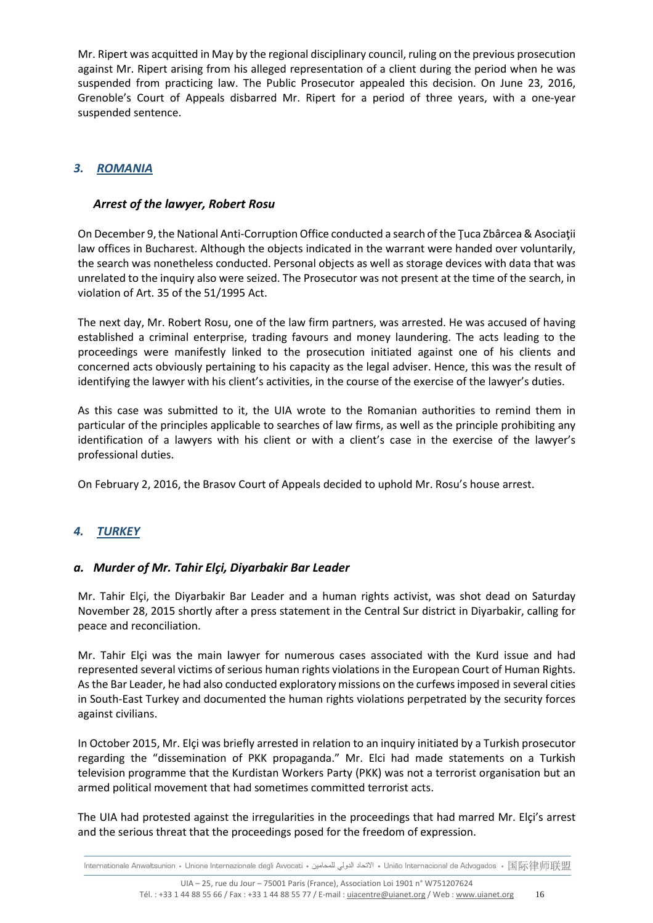Mr. Ripert was acquitted in May by the regional disciplinary council, ruling on the previous prosecution against Mr. Ripert arising from his alleged representation of a client during the period when he was suspended from practicing law. The Public Prosecutor appealed this decision. On June 23, 2016, Grenoble's Court of Appeals disbarred Mr. Ripert for a period of three years, with a one-year suspended sentence.

# *3. ROMANIA*

# *Arrest of the lawyer, Robert Rosu*

On December 9, the National Anti-Corruption Office conducted a search of the Ţuca Zbârcea & Asociaţii law offices in Bucharest. Although the objects indicated in the warrant were handed over voluntarily, the search was nonetheless conducted. Personal objects as well as storage devices with data that was unrelated to the inquiry also were seized. The Prosecutor was not present at the time of the search, in violation of Art. 35 of the 51/1995 Act.

The next day, Mr. Robert Rosu, one of the law firm partners, was arrested. He was accused of having established a criminal enterprise, trading favours and money laundering. The acts leading to the proceedings were manifestly linked to the prosecution initiated against one of his clients and concerned acts obviously pertaining to his capacity as the legal adviser. Hence, this was the result of identifying the lawyer with his client's activities, in the course of the exercise of the lawyer's duties.

As this case was submitted to it, the UIA wrote to the Romanian authorities to remind them in particular of the principles applicable to searches of law firms, as well as the principle prohibiting any identification of a lawyers with his client or with a client's case in the exercise of the lawyer's professional duties.

On February 2, 2016, the Brasov Court of Appeals decided to uphold Mr. Rosu's house arrest.

# *4. TURKEY*

# *a. Murder of Mr. Tahir Elçi, Diyarbakir Bar Leader*

Mr. Tahir Elçi, the Diyarbakir Bar Leader and a human rights activist, was shot dead on Saturday November 28, 2015 shortly after a press statement in the Central Sur district in Diyarbakir, calling for peace and reconciliation.

Mr. Tahir Elçi was the main lawyer for numerous cases associated with the Kurd issue and had represented several victims of serious human rights violations in the European Court of Human Rights. As the Bar Leader, he had also conducted exploratory missions on the curfews imposed in several cities in South-East Turkey and documented the human rights violations perpetrated by the security forces against civilians.

In October 2015, Mr. Elçi was briefly arrested in relation to an inquiry initiated by a Turkish prosecutor regarding the "dissemination of PKK propaganda." Mr. Elci had made statements on a Turkish television programme that the Kurdistan Workers Party (PKK) was not a terrorist organisation but an armed political movement that had sometimes committed terrorist acts.

The UIA had protested against the irregularities in the proceedings that had marred Mr. Elçi's arrest and the serious threat that the proceedings posed for the freedom of expression.

Internacional de Advogados • 国际律师联盟 • الاتحاد الدولي للمحامين • União Internacional de Advogados • 国际律师联盟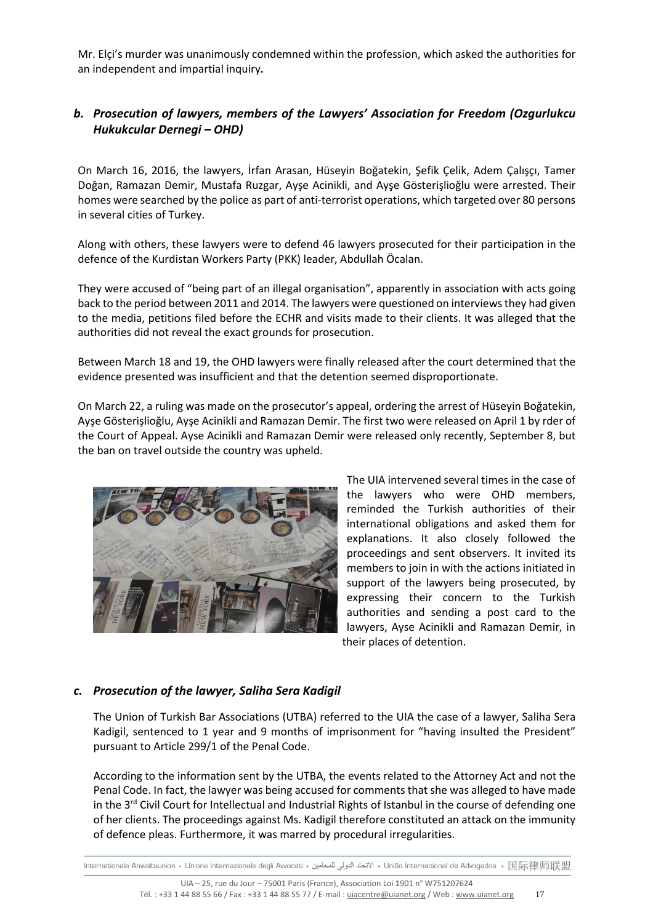Mr. Elçi's murder was unanimously condemned within the profession, which asked the authorities for an independent and impartial inquiry*.*

# *b. Prosecution of lawyers, members of the Lawyers' Association for Freedom (Ozgurlukcu Hukukcular Dernegi – OHD)*

On March 16, 2016, the lawyers, İrfan Arasan, Hüseyin Boğatekin, Şefik Çelik, Adem Çalışçı, Tamer Doğan, Ramazan Demir, Mustafa Ruzgar, Ayşe Acinikli, and Ayşe Gösterişlioğlu were arrested. Their homes were searched by the police as part of anti-terrorist operations, which targeted over 80 persons in several cities of Turkey.

Along with others, these lawyers were to defend 46 lawyers prosecuted for their participation in the defence of the Kurdistan Workers Party (PKK) leader, Abdullah Öcalan.

They were accused of "being part of an illegal organisation", apparently in association with acts going back to the period between 2011 and 2014. The lawyers were questioned on interviews they had given to the media, petitions filed before the ECHR and visits made to their clients. It was alleged that the authorities did not reveal the exact grounds for prosecution.

Between March 18 and 19, the OHD lawyers were finally released after the court determined that the evidence presented was insufficient and that the detention seemed disproportionate.

On March 22, a ruling was made on the prosecutor's appeal, ordering the arrest of Hüseyin Boğatekin, Ayşe Gösterişlioğlu, Ayşe Acinikli and Ramazan Demir. The first two were released on April 1 by rder of the Court of Appeal. Ayse Acinikli and Ramazan Demir were released only recently, September 8, but the ban on travel outside the country was upheld.



The UIA intervened several times in the case of the lawyers who were OHD members, reminded the Turkish authorities of their international obligations and asked them for explanations. It also closely followed the proceedings and sent observers. It invited its members to join in with the actions initiated in support of the lawyers being prosecuted, by expressing their concern to the Turkish authorities and sending a post card to the lawyers, Ayse Acinikli and Ramazan Demir, in their places of detention.

# *c. Prosecution of the lawyer, Saliha Sera Kadigil*

The Union of Turkish Bar Associations (UTBA) referred to the UIA the case of a lawyer, Saliha Sera Kadigil, sentenced to 1 year and 9 months of imprisonment for "having insulted the President" pursuant to Article 299/1 of the Penal Code.

According to the information sent by the UTBA, the events related to the Attorney Act and not the Penal Code. In fact, the lawyer was being accused for comments that she was alleged to have made in the  $3<sup>rd</sup>$  Civil Court for Intellectual and Industrial Rights of Istanbul in the course of defending one of her clients. The proceedings against Ms. Kadigil therefore constituted an attack on the immunity of defence pleas. Furthermore, it was marred by procedural irregularities.